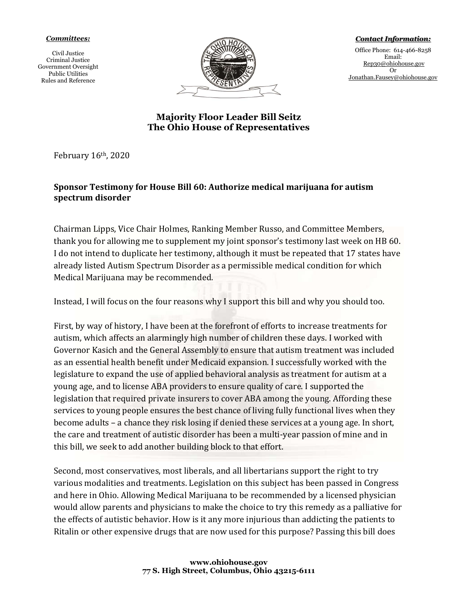## Committees:

Civil Justice Criminal Justice Government Oversight Public Utilities Rules and Reference



Contact Information:

Office Phone: 614-466-8258 Email: Rep30@ohiohouse.gov Or Jonathan.Fausey@ohiohouse.gov

Majority Floor Leader Bill Seitz The Ohio House of Representatives

February 16th, 2020

## Sponsor Testimony for House Bill 60: Authorize medical marijuana for autism spectrum disorder

Chairman Lipps, Vice Chair Holmes, Ranking Member Russo, and Committee Members, thank you for allowing me to supplement my joint sponsor's testimony last week on HB 60. I do not intend to duplicate her testimony, although it must be repeated that 17 states have already listed Autism Spectrum Disorder as a permissible medical condition for which Medical Marijuana may be recommended.

Instead, I will focus on the four reasons why I support this bill and why you should too.

First, by way of history, I have been at the forefront of efforts to increase treatments for autism, which affects an alarmingly high number of children these days. I worked with Governor Kasich and the General Assembly to ensure that autism treatment was included as an essential health benefit under Medicaid expansion. I successfully worked with the legislature to expand the use of applied behavioral analysis as treatment for autism at a young age, and to license ABA providers to ensure quality of care. I supported the legislation that required private insurers to cover ABA among the young. Affording these services to young people ensures the best chance of living fully functional lives when they become adults – a chance they risk losing if denied these services at a young age. In short, the care and treatment of autistic disorder has been a multi-year passion of mine and in this bill, we seek to add another building block to that effort.

Second, most conservatives, most liberals, and all libertarians support the right to try various modalities and treatments. Legislation on this subject has been passed in Congress and here in Ohio. Allowing Medical Marijuana to be recommended by a licensed physician would allow parents and physicians to make the choice to try this remedy as a palliative for the effects of autistic behavior. How is it any more injurious than addicting the patients to Ritalin or other expensive drugs that are now used for this purpose? Passing this bill does